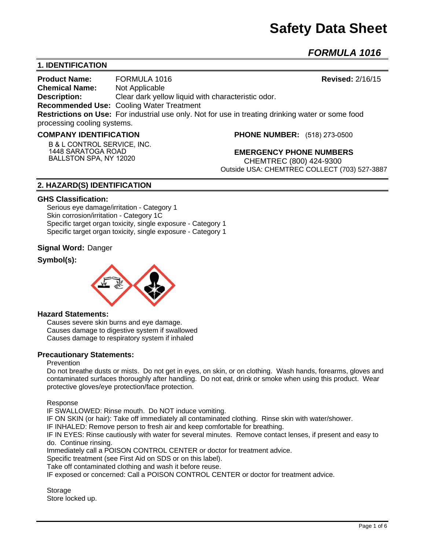# **Safety Data Sheet**

*FORMULA 1016* 

# **1. IDENTIFICATION**

**Product Name:** FORMULA 1016 **Revised:** 2/16/15 **Chemical Name:** Not Applicable **Description:** Clear dark yellow liquid with characteristic odor. **Recommended Use:** Cooling Water Treatment **Restrictions on Use:** For industrial use only. Not for use in treating drinking water or some food processing cooling systems.

#### **COMPANY IDENTIFICATION**

**B & L CONTROL SERVICE, INC. 1448 SARATOGA ROAD BALLSTON SPA, NY 12020**

**PHONE NUMBER:** (518) 273-0500

**EMERGENCY PHONE NUMBERS** CHEMTREC (800) 424-9300 Outside USA: CHEMTREC COLLECT (703) 527-3887

# **2. HAZARD(S) IDENTIFICATION**

#### **GHS Classification:**

Serious eye damage/irritation - Category 1 Skin corrosion/irritation - Category 1C Specific target organ toxicity, single exposure - Category 1 Specific target organ toxicity, single exposure - Category 1

## **Signal Word:** Danger

## **Symbol(s):**



#### **Hazard Statements:**

Causes severe skin burns and eye damage. Causes damage to digestive system if swallowed Causes damage to respiratory system if inhaled

## **Precautionary Statements:**

#### Prevention

Do not breathe dusts or mists. Do not get in eyes, on skin, or on clothing. Wash hands, forearms, gloves and contaminated surfaces thoroughly after handling. Do not eat, drink or smoke when using this product. Wear protective gloves/eye protection/face protection.

Response

IF SWALLOWED: Rinse mouth. Do NOT induce vomiting.

IF ON SKIN (or hair): Take off immediately all contaminated clothing. Rinse skin with water/shower.

IF INHALED: Remove person to fresh air and keep comfortable for breathing.

IF IN EYES: Rinse cautiously with water for several minutes. Remove contact lenses, if present and easy to do. Continue rinsing.

Immediately call a POISON CONTROL CENTER or doctor for treatment advice.

Specific treatment (see First Aid on SDS or on this label).

Take off contaminated clothing and wash it before reuse.

IF exposed or concerned: Call a POISON CONTROL CENTER or doctor for treatment advice.

**Storage** Store locked up.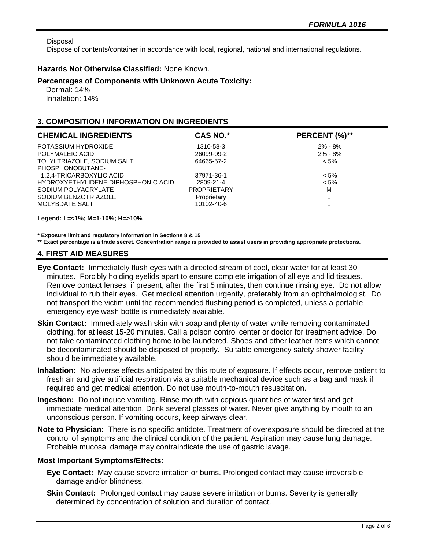Disposal

Dispose of contents/container in accordance with local, regional, national and international regulations.

## **Hazards Not Otherwise Classified:** None Known.

#### **Percentages of Components with Unknown Acute Toxicity:**

 Dermal: 14% Inhalation: 14%

## **3. COMPOSITION / INFORMATION ON INGREDIENTS**

| <b>CHEMICAL INGREDIENTS</b>         | <b>CAS NO.*</b>    | PERCENT (%)** |
|-------------------------------------|--------------------|---------------|
| POTASSIUM HYDROXIDE                 | 1310-58-3          | $2\% - 8\%$   |
| POLYMALEIC ACID                     | 26099-09-2         | $2\% - 8\%$   |
| TOLYLTRIAZOLE, SODIUM SALT          | 64665-57-2         | $< 5\%$       |
| PHOSPHONOBUTANE-                    |                    |               |
| 1,2,4-TRICARBOXYLIC ACID            | 37971-36-1         | $< 5\%$       |
| HYDROXYETHYLIDENE DIPHOSPHONIC ACID | 2809-21-4          | $< 5\%$       |
| SODIUM POLYACRYLATE                 | <b>PROPRIETARY</b> | M             |
| SODIUM BENZOTRIAZOLE                | Proprietary        |               |
| <b>MOLYBDATE SALT</b>               | 10102-40-6         |               |
|                                     |                    |               |

**Legend: L=<1%; M=1-10%; H=>10%**

**\* Exposure limit and regulatory information in Sections 8 & 15**

**\*\* Exact percentage is a trade secret. Concentration range is provided to assist users in providing appropriate protections.**

## **4. FIRST AID MEASURES**

- **Eye Contact:** Immediately flush eyes with a directed stream of cool, clear water for at least 30 minutes. Forcibly holding eyelids apart to ensure complete irrigation of all eye and lid tissues. Remove contact lenses, if present, after the first 5 minutes, then continue rinsing eye. Do not allow individual to rub their eyes. Get medical attention urgently, preferably from an ophthalmologist. Do not transport the victim until the recommended flushing period is completed, unless a portable emergency eye wash bottle is immediately available.
- **Skin Contact:** Immediately wash skin with soap and plenty of water while removing contaminated clothing, for at least 15-20 minutes. Call a poison control center or doctor for treatment advice. Do not take contaminated clothing home to be laundered. Shoes and other leather items which cannot be decontaminated should be disposed of properly. Suitable emergency safety shower facility should be immediately available.
- **Inhalation:** No adverse effects anticipated by this route of exposure. If effects occur, remove patient to fresh air and give artificial respiration via a suitable mechanical device such as a bag and mask if required and get medical attention. Do not use mouth-to-mouth resuscitation.
- **Ingestion:** Do not induce vomiting. Rinse mouth with copious quantities of water first and get immediate medical attention. Drink several glasses of water. Never give anything by mouth to an unconscious person. If vomiting occurs, keep airways clear.
- **Note to Physician:** There is no specific antidote. Treatment of overexposure should be directed at the control of symptoms and the clinical condition of the patient. Aspiration may cause lung damage. Probable mucosal damage may contraindicate the use of gastric lavage.

## **Most Important Symptoms/Effects:**

- **Eye Contact:** May cause severe irritation or burns. Prolonged contact may cause irreversible damage and/or blindness.
- **Skin Contact:** Prolonged contact may cause severe irritation or burns. Severity is generally determined by concentration of solution and duration of contact.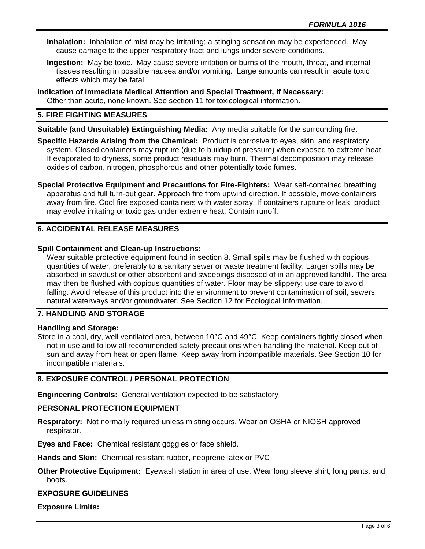- **Inhalation:** Inhalation of mist may be irritating; a stinging sensation may be experienced. May cause damage to the upper respiratory tract and lungs under severe conditions.
- **Ingestion:** May be toxic. May cause severe irritation or burns of the mouth, throat, and internal tissues resulting in possible nausea and/or vomiting. Large amounts can result in acute toxic effects which may be fatal.
- **Indication of Immediate Medical Attention and Special Treatment, if Necessary:** Other than acute, none known. See section 11 for toxicological information.

## **5. FIRE FIGHTING MEASURES**

**Suitable (and Unsuitable) Extinguishing Media:** Any media suitable for the surrounding fire.

**Specific Hazards Arising from the Chemical:** Product is corrosive to eyes, skin, and respiratory system. Closed containers may rupture (due to buildup of pressure) when exposed to extreme heat. If evaporated to dryness, some product residuals may burn. Thermal decomposition may release oxides of carbon, nitrogen, phosphorous and other potentially toxic fumes.

**Special Protective Equipment and Precautions for Fire-Fighters:** Wear self-contained breathing apparatus and full turn-out gear. Approach fire from upwind direction. If possible, move containers away from fire. Cool fire exposed containers with water spray. If containers rupture or leak, product may evolve irritating or toxic gas under extreme heat. Contain runoff.

## **6. ACCIDENTAL RELEASE MEASURES**

## **Spill Containment and Clean-up Instructions:**

Wear suitable protective equipment found in section 8. Small spills may be flushed with copious quantities of water, preferably to a sanitary sewer or waste treatment facility. Larger spills may be absorbed in sawdust or other absorbent and sweepings disposed of in an approved landfill. The area may then be flushed with copious quantities of water. Floor may be slippery; use care to avoid falling. Avoid release of this product into the environment to prevent contamination of soil, sewers, natural waterways and/or groundwater. See Section 12 for Ecological Information.

## **7. HANDLING AND STORAGE**

## **Handling and Storage:**

Store in a cool, dry, well ventilated area, between 10°C and 49°C. Keep containers tightly closed when not in use and follow all recommended safety precautions when handling the material. Keep out of sun and away from heat or open flame. Keep away from incompatible materials. See Section 10 for incompatible materials.

## **8. EXPOSURE CONTROL / PERSONAL PROTECTION**

**Engineering Controls:** General ventilation expected to be satisfactory

## **PERSONAL PROTECTION EQUIPMENT**

**Respiratory:** Not normally required unless misting occurs. Wear an OSHA or NIOSH approved respirator.

**Eyes and Face:** Chemical resistant goggles or face shield.

**Hands and Skin:** Chemical resistant rubber, neoprene latex or PVC

**Other Protective Equipment:** Eyewash station in area of use. Wear long sleeve shirt, long pants, and boots.

#### **EXPOSURE GUIDELINES**

**Exposure Limits:**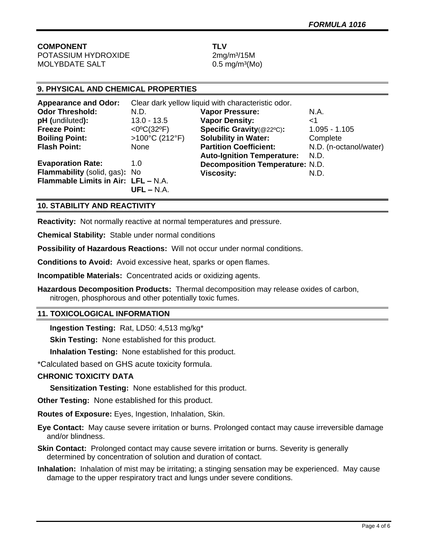**COMPONENT TLV** POTASSIUM HYDROXIDE 2mg/m<sup>3</sup>/15M

 $MOLYBDATE SALT$  0.5 mg/m<sup>3</sup>(Mo)

# **9. PHYSICAL AND CHEMICAL PROPERTIES**

| <b>Appearance and Odor:</b>         | Clear dark yellow liquid with characteristic odor. |                                        |                        |
|-------------------------------------|----------------------------------------------------|----------------------------------------|------------------------|
| <b>Odor Threshold:</b>              | N.D.                                               | <b>Vapor Pressure:</b>                 | N.A.                   |
| pH (undiluted):                     | $13.0 - 13.5$                                      | <b>Vapor Density:</b>                  | ا>                     |
| <b>Freeze Point:</b>                | <0°C(32°F)                                         | Specific Gravity(@22°C):               | $1.095 - 1.105$        |
| <b>Boiling Point:</b>               | >100°C (212°F)                                     | <b>Solubility in Water:</b>            | Complete               |
| <b>Flash Point:</b>                 | None                                               | <b>Partition Coefficient:</b>          | N.D. (n-octanol/water) |
|                                     |                                                    | <b>Auto-Ignition Temperature:</b>      | N.D.                   |
| <b>Evaporation Rate:</b>            | 1.0                                                | <b>Decomposition Temperature: N.D.</b> |                        |
| Flammability (solid, gas): No       |                                                    | <b>Viscosity:</b>                      | N.D.                   |
| Flammable Limits in Air: LFL - N.A. |                                                    |                                        |                        |
|                                     | $UFL - N.A.$                                       |                                        |                        |

## **10. STABILITY AND REACTIVITY**

**Reactivity:** Not normally reactive at normal temperatures and pressure.

**Chemical Stability:** Stable under normal conditions

**Possibility of Hazardous Reactions:** Will not occur under normal conditions.

**Conditions to Avoid:** Avoid excessive heat, sparks or open flames.

**Incompatible Materials:** Concentrated acids or oxidizing agents.

**Hazardous Decomposition Products:** Thermal decomposition may release oxides of carbon, nitrogen, phosphorous and other potentially toxic fumes.

## **11. TOXICOLOGICAL INFORMATION**

**Ingestion Testing:** Rat, LD50: 4,513 mg/kg\*

**Skin Testing:** None established for this product.

**Inhalation Testing:** None established for this product.

\*Calculated based on GHS acute toxicity formula.

## **CHRONIC TOXICITY DATA**

**Sensitization Testing:** None established for this product.

**Other Testing:** None established for this product.

**Routes of Exposure:** Eyes, Ingestion, Inhalation, Skin.

**Eye Contact:** May cause severe irritation or burns. Prolonged contact may cause irreversible damage and/or blindness.

**Skin Contact:** Prolonged contact may cause severe irritation or burns. Severity is generally determined by concentration of solution and duration of contact.

**Inhalation:** Inhalation of mist may be irritating; a stinging sensation may be experienced. May cause damage to the upper respiratory tract and lungs under severe conditions.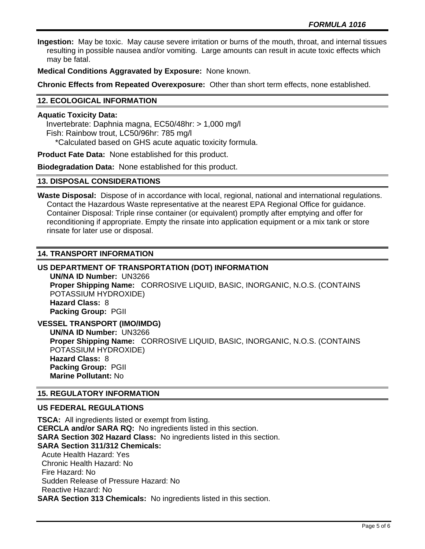**Ingestion:** May be toxic. May cause severe irritation or burns of the mouth, throat, and internal tissues resulting in possible nausea and/or vomiting. Large amounts can result in acute toxic effects which may be fatal.

**Medical Conditions Aggravated by Exposure:** None known.

**Chronic Effects from Repeated Overexposure:** Other than short term effects, none established.

## **12. ECOLOGICAL INFORMATION**

#### **Aquatic Toxicity Data:**

 Invertebrate: Daphnia magna, EC50/48hr: > 1,000 mg/l Fish: Rainbow trout, LC50/96hr: 785 mg/l \*Calculated based on GHS acute aquatic toxicity formula.

**Product Fate Data:** None established for this product.

**Biodegradation Data:** None established for this product.

#### **13. DISPOSAL CONSIDERATIONS**

**Waste Disposal:** Dispose of in accordance with local, regional, national and international regulations. Contact the Hazardous Waste representative at the nearest EPA Regional Office for guidance. Container Disposal: Triple rinse container (or equivalent) promptly after emptying and offer for reconditioning if appropriate. Empty the rinsate into application equipment or a mix tank or store rinsate for later use or disposal.

## **14. TRANSPORT INFORMATION**

# **US DEPARTMENT OF TRANSPORTATION (DOT) INFORMATION**

**UN/NA ID Number:** UN3266 **Proper Shipping Name:** CORROSIVE LIQUID, BASIC, INORGANIC, N.O.S. (CONTAINS POTASSIUM HYDROXIDE) **Hazard Class:** 8 **Packing Group:** PGII

**VESSEL TRANSPORT (IMO/IMDG) UN/NA ID Number:** UN3266 **Proper Shipping Name:** CORROSIVE LIQUID, BASIC, INORGANIC, N.O.S. (CONTAINS POTASSIUM HYDROXIDE) **Hazard Class:** 8 **Packing Group:** PGII **Marine Pollutant:** No

## **15. REGULATORY INFORMATION**

## **US FEDERAL REGULATIONS**

**TSCA:** All ingredients listed or exempt from listing. **CERCLA and/or SARA RQ:** No ingredients listed in this section. **SARA Section 302 Hazard Class:** No ingredients listed in this section. **SARA Section 311/312 Chemicals:**  Acute Health Hazard: Yes Chronic Health Hazard: No Fire Hazard: No Sudden Release of Pressure Hazard: No Reactive Hazard: No **SARA Section 313 Chemicals:** No ingredients listed in this section.